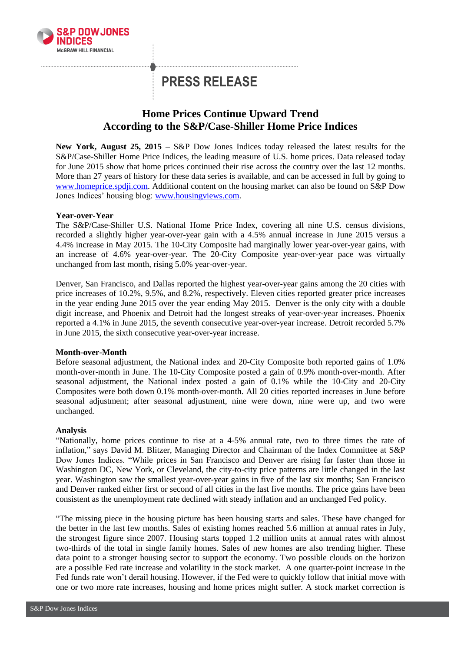

# **PRESS RELEASE**

# **Home Prices Continue Upward Trend According to the S&P/Case-Shiller Home Price Indices**

**New York, August 25, 2015** – S&P Dow Jones Indices today released the latest results for the S&P/Case-Shiller Home Price Indices, the leading measure of U.S. home prices. Data released today for June 2015 show that home prices continued their rise across the country over the last 12 months. More than 27 years of history for these data series is available, and can be accessed in full by going to [www.homeprice.spdji.com.](http://www.homeprice.spdji.com/) Additional content on the housing market can also be found on S&P Dow Jones Indices' housing blog: [www.housingviews.com.](http://www.housingviews.com/)

# **Year-over-Year**

The S&P/Case-Shiller U.S. National Home Price Index, covering all nine U.S. census divisions, recorded a slightly higher year-over-year gain with a 4.5% annual increase in June 2015 versus a 4.4% increase in May 2015. The 10-City Composite had marginally lower year-over-year gains, with an increase of 4.6% year-over-year. The 20-City Composite year-over-year pace was virtually unchanged from last month, rising 5.0% year-over-year.

Denver, San Francisco, and Dallas reported the highest year-over-year gains among the 20 cities with price increases of 10.2%, 9.5%, and 8.2%, respectively. Eleven cities reported greater price increases in the year ending June 2015 over the year ending May 2015. Denver is the only city with a double digit increase, and Phoenix and Detroit had the longest streaks of year-over-year increases. Phoenix reported a 4.1% in June 2015, the seventh consecutive year-over-year increase. Detroit recorded 5.7% in June 2015, the sixth consecutive year-over-year increase.

# **Month-over-Month**

Before seasonal adjustment, the National index and 20-City Composite both reported gains of 1.0% month-over-month in June. The 10-City Composite posted a gain of 0.9% month-over-month. After seasonal adjustment, the National index posted a gain of 0.1% while the 10-City and 20-City Composites were both down 0.1% month-over-month. All 20 cities reported increases in June before seasonal adjustment; after seasonal adjustment, nine were down, nine were up, and two were unchanged.

# **Analysis**

"Nationally, home prices continue to rise at a 4-5% annual rate, two to three times the rate of inflation," says David M. Blitzer, Managing Director and Chairman of the Index Committee at S&P Dow Jones Indices. "While prices in San Francisco and Denver are rising far faster than those in Washington DC, New York, or Cleveland, the city-to-city price patterns are little changed in the last year. Washington saw the smallest year-over-year gains in five of the last six months; San Francisco and Denver ranked either first or second of all cities in the last five months. The price gains have been consistent as the unemployment rate declined with steady inflation and an unchanged Fed policy.

"The missing piece in the housing picture has been housing starts and sales. These have changed for the better in the last few months. Sales of existing homes reached 5.6 million at annual rates in July, the strongest figure since 2007. Housing starts topped 1.2 million units at annual rates with almost two-thirds of the total in single family homes. Sales of new homes are also trending higher. These data point to a stronger housing sector to support the economy. Two possible clouds on the horizon are a possible Fed rate increase and volatility in the stock market. A one quarter-point increase in the Fed funds rate won't derail housing. However, if the Fed were to quickly follow that initial move with one or two more rate increases, housing and home prices might suffer. A stock market correction is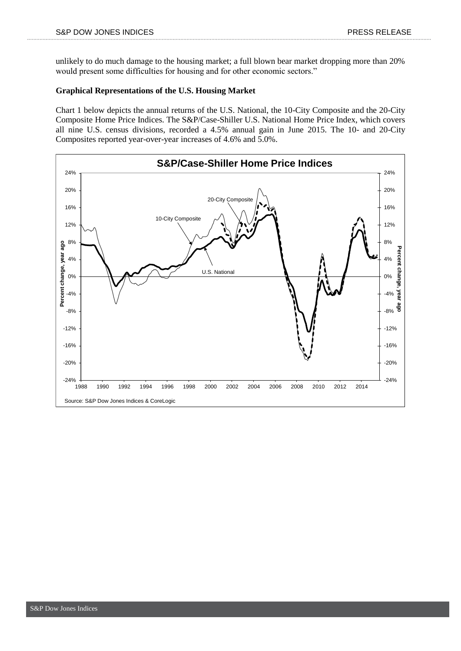unlikely to do much damage to the housing market; a full blown bear market dropping more than 20% would present some difficulties for housing and for other economic sectors."

### **Graphical Representations of the U.S. Housing Market**

Chart 1 below depicts the annual returns of the U.S. National, the 10-City Composite and the 20-City Composite Home Price Indices. The S&P/Case-Shiller U.S. National Home Price Index, which covers all nine U.S. census divisions, recorded a 4.5% annual gain in June 2015. The 10- and 20-City Composites reported year-over-year increases of 4.6% and 5.0%.

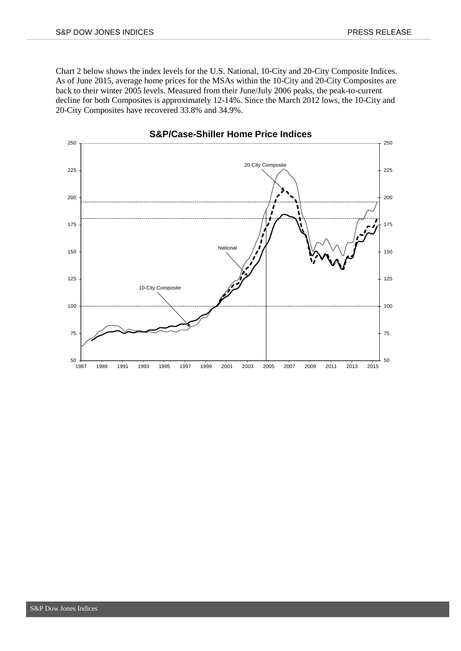Chart 2 below shows the index levels for the U.S. National, 10-City and 20-City Composite Indices. As of June 2015, average home prices for the MSAs within the 10-City and 20-City Composites are back to their winter 2005 levels. Measured from their June/July 2006 peaks, the peak-to-current decline for both Composites is approximately 12-14%. Since the March 2012 lows, the 10-City and 20-City Composites have recovered 33.8% and 34.9%.



**S&P/Case-Shiller Home Price Indices**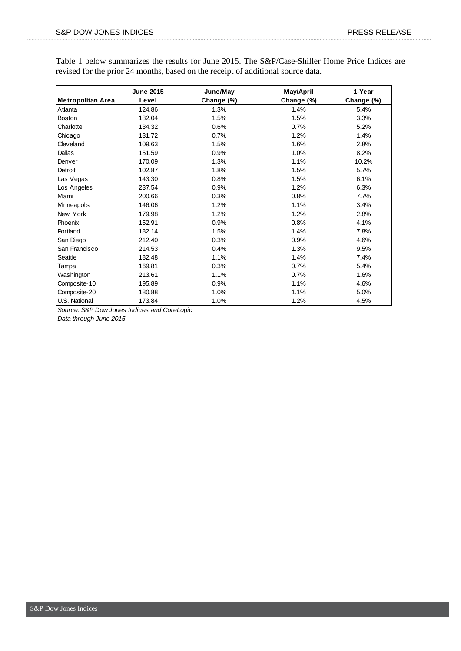Table 1 below summarizes the results for June 2015. The S&P/Case-Shiller Home Price Indices are revised for the prior 24 months, based on the receipt of additional source data.

|                   | <b>June 2015</b> | June/May   | May/April  | 1-Year     |
|-------------------|------------------|------------|------------|------------|
| Metropolitan Area | Level            | Change (%) | Change (%) | Change (%) |
| Atlanta           | 124.86           | 1.3%       | 1.4%       | 5.4%       |
| <b>Boston</b>     | 182.04           | 1.5%       | 1.5%       | 3.3%       |
| Charlotte         | 134.32           | 0.6%       | 0.7%       | 5.2%       |
| Chicago           | 131.72           | 0.7%       | 1.2%       | 1.4%       |
| Cleveland         | 109.63           | 1.5%       | 1.6%       | 2.8%       |
| Dallas            | 151.59           | 0.9%       | 1.0%       | 8.2%       |
| Denver            | 170.09           | 1.3%       | 1.1%       | 10.2%      |
| Detroit           | 102.87           | 1.8%       | 1.5%       | 5.7%       |
| Las Vegas         | 143.30           | 0.8%       | 1.5%       | 6.1%       |
| Los Angeles       | 237.54           | 0.9%       | 1.2%       | 6.3%       |
| Miami             | 200.66           | 0.3%       | 0.8%       | 7.7%       |
| Minneapolis       | 146.06           | 1.2%       | 1.1%       | 3.4%       |
| New York          | 179.98           | 1.2%       | 1.2%       | 2.8%       |
| Phoenix           | 152.91           | 0.9%       | 0.8%       | 4.1%       |
| Portland          | 182.14           | 1.5%       | 1.4%       | 7.8%       |
| San Diego         | 212.40           | 0.3%       | 0.9%       | 4.6%       |
| San Francisco     | 214.53           | 0.4%       | 1.3%       | 9.5%       |
| Seattle           | 182.48           | 1.1%       | 1.4%       | 7.4%       |
| Tampa             | 169.81           | 0.3%       | 0.7%       | 5.4%       |
| Washington        | 213.61           | 1.1%       | 0.7%       | 1.6%       |
| Composite-10      | 195.89           | 0.9%       | 1.1%       | 4.6%       |
| Composite-20      | 180.88           | 1.0%       | 1.1%       | 5.0%       |
| U.S. National     | 173.84           | 1.0%       | 1.2%       | 4.5%       |

*Source: S&P Dow Jones Indices and CoreLogic*

*Data through June 2015*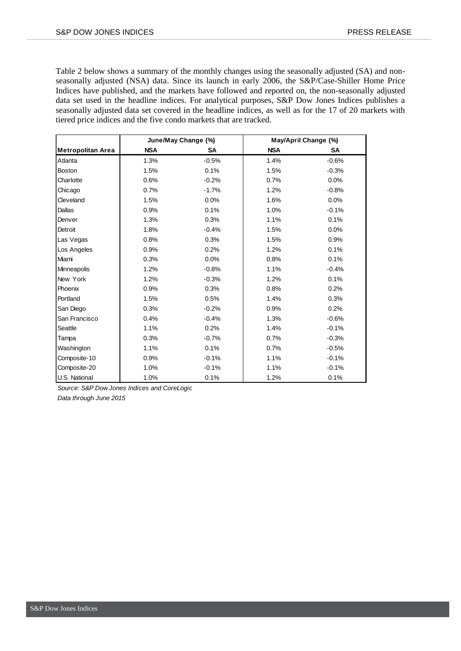Table 2 below shows a summary of the monthly changes using the seasonally adjusted (SA) and nonseasonally adjusted (NSA) data. Since its launch in early 2006, the S&P/Case-Shiller Home Price Indices have published, and the markets have followed and reported on, the non-seasonally adjusted data set used in the headline indices. For analytical purposes, S&P Dow Jones Indices publishes a seasonally adjusted data set covered in the headline indices, as well as for the 17 of 20 markets with tiered price indices and the five condo markets that are tracked.

|                          | June/May Change (%) |         | May/April Change (%) |         |
|--------------------------|---------------------|---------|----------------------|---------|
| <b>Metropolitan Area</b> | <b>NSA</b>          | SA      | <b>NSA</b>           | SA      |
| Atlanta                  | 1.3%                | $-0.5%$ | 1.4%                 | $-0.6%$ |
| <b>Boston</b>            | 1.5%                | 0.1%    | 1.5%                 | $-0.3%$ |
| Charlotte                | 0.6%                | $-0.2%$ | 0.7%                 | 0.0%    |
| Chicago                  | 0.7%                | $-1.7%$ | 1.2%                 | $-0.8%$ |
| Cleveland                | 1.5%                | 0.0%    | 1.6%                 | 0.0%    |
| Dallas                   | 0.9%                | 0.1%    | 1.0%                 | $-0.1%$ |
| Denver                   | 1.3%                | 0.3%    | 1.1%                 | 0.1%    |
| Detroit                  | 1.8%                | $-0.4%$ | 1.5%                 | 0.0%    |
| Las Vegas                | 0.8%                | 0.3%    | 1.5%                 | 0.9%    |
| Los Angeles              | 0.9%                | 0.2%    | 1.2%                 | 0.1%    |
| Miami                    | 0.3%                | 0.0%    | 0.8%                 | 0.1%    |
| Minneapolis              | 1.2%                | $-0.8%$ | 1.1%                 | $-0.4%$ |
| New York                 | 1.2%                | $-0.3%$ | 1.2%                 | 0.1%    |
| Phoenix                  | 0.9%                | 0.3%    | 0.8%                 | 0.2%    |
| Portland                 | 1.5%                | 0.5%    | 1.4%                 | 0.3%    |
| San Diego                | 0.3%                | $-0.2%$ | 0.9%                 | 0.2%    |
| San Francisco            | 0.4%                | $-0.4%$ | 1.3%                 | $-0.6%$ |
| Seattle                  | 1.1%                | 0.2%    | 1.4%                 | $-0.1%$ |
| Tampa                    | 0.3%                | $-0.7%$ | 0.7%                 | $-0.3%$ |
| Washington               | 1.1%                | 0.1%    | 0.7%                 | $-0.5%$ |
| Composite-10             | 0.9%                | $-0.1%$ | 1.1%                 | $-0.1%$ |
| Composite-20             | 1.0%                | $-0.1%$ | 1.1%                 | $-0.1%$ |
| U.S. National            | 1.0%                | 0.1%    | 1.2%                 | 0.1%    |

*Source: S&P Dow Jones Indices and CoreLogic*

*Data through June 2015*